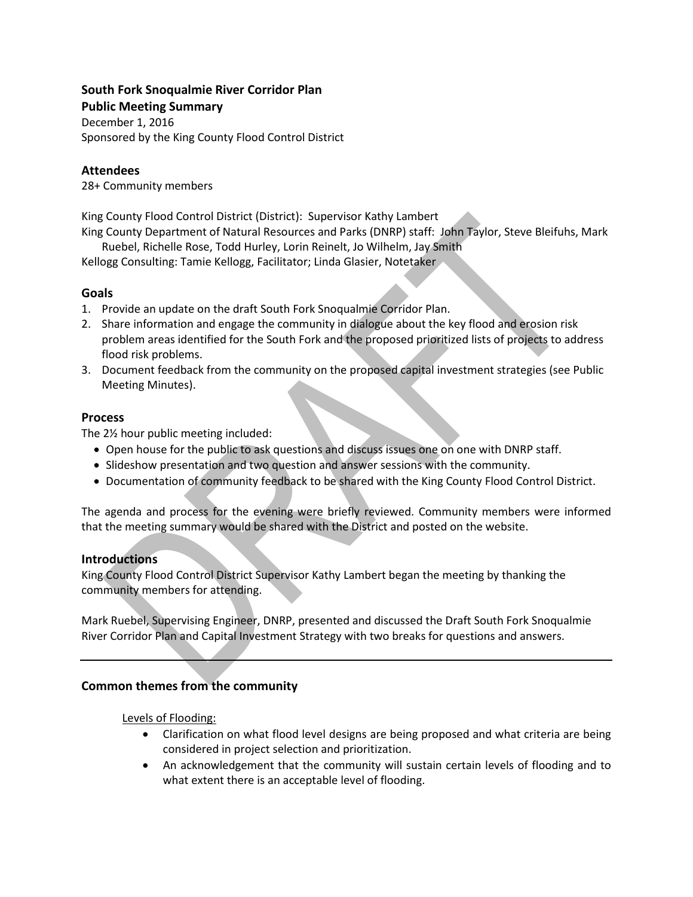## **South Fork Snoqualmie River Corridor Plan**

**Public Meeting Summary**  December 1, 2016 Sponsored by the King County Flood Control District

## **Attendees**

28+ Community members

King County Flood Control District (District): Supervisor Kathy Lambert

King County Department of Natural Resources and Parks (DNRP) staff: John Taylor, Steve Bleifuhs, Mark Ruebel, Richelle Rose, Todd Hurley, Lorin Reinelt, Jo Wilhelm, Jay Smith

Kellogg Consulting: Tamie Kellogg, Facilitator; Linda Glasier, Notetaker

# **Goals**

- 1. Provide an update on the draft South Fork Snoqualmie Corridor Plan.
- 2. Share information and engage the community in dialogue about the key flood and erosion risk problem areas identified for the South Fork and the proposed prioritized lists of projects to address flood risk problems.
- 3. Document feedback from the community on the proposed capital investment strategies (see Public Meeting Minutes).

# **Process**

The 2½ hour public meeting included:

- Open house for the public to ask questions and discuss issues one on one with DNRP staff.
- Slideshow presentation and two question and answer sessions with the community.
- Documentation of community feedback to be shared with the King County Flood Control District.

The agenda and process for the evening were briefly reviewed. Community members were informed that the meeting summary would be shared with the District and posted on the website.

### **Introductions**

King County Flood Control District Supervisor Kathy Lambert began the meeting by thanking the community members for attending.

Mark Ruebel, Supervising Engineer, DNRP, presented and discussed the Draft South Fork Snoqualmie River Corridor Plan and Capital Investment Strategy with two breaks for questions and answers.

# **Common themes from the community**

Levels of Flooding:

- Clarification on what flood level designs are being proposed and what criteria are being considered in project selection and prioritization.
- An acknowledgement that the community will sustain certain levels of flooding and to what extent there is an acceptable level of flooding.